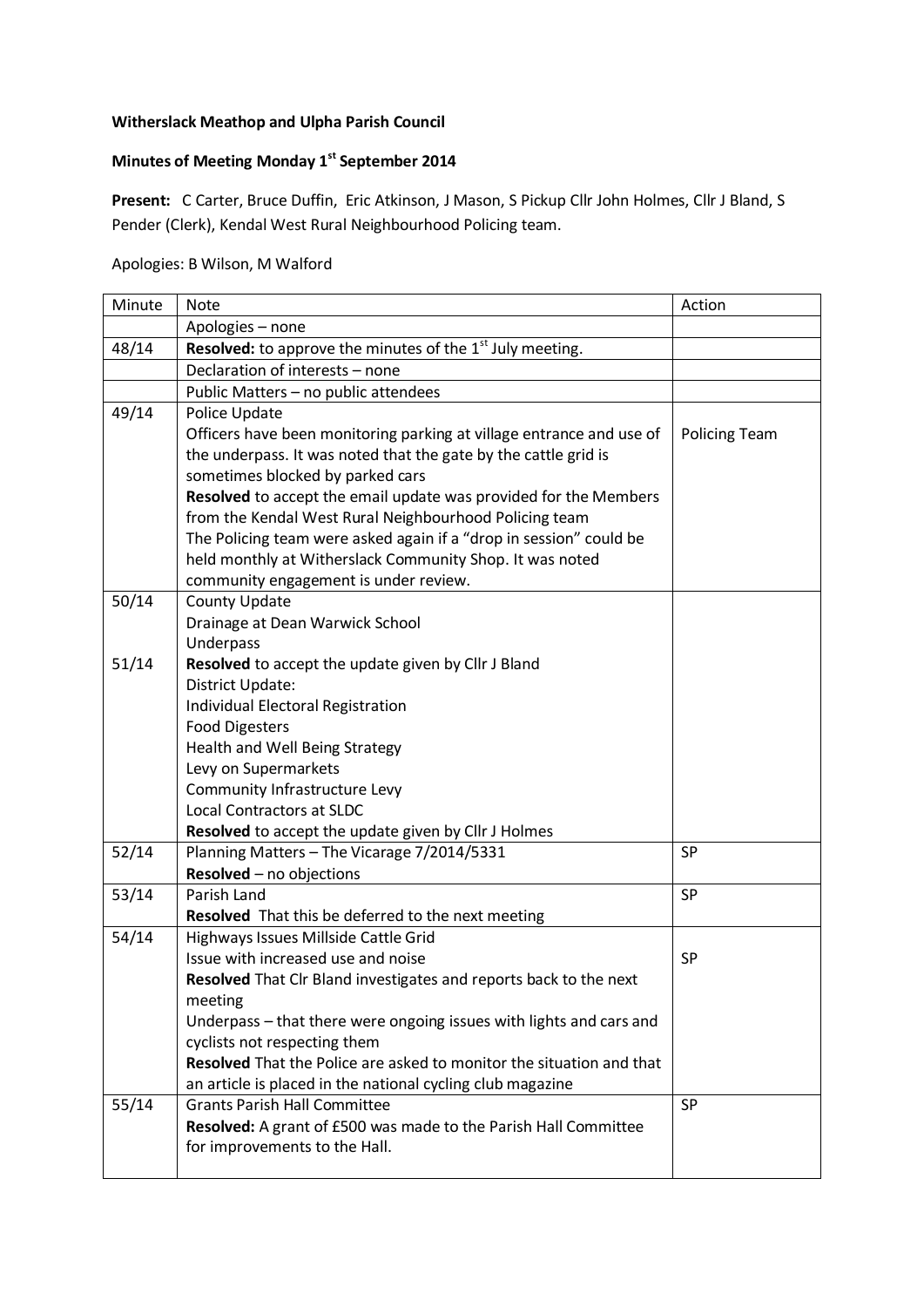## **Witherslack Meathop and Ulpha Parish Council**

## **Minutes of Meeting Monday 1st September 2014**

**Present:** C Carter, Bruce Duffin, Eric Atkinson, J Mason, S Pickup Cllr John Holmes, Cllr J Bland, S Pender (Clerk), Kendal West Rural Neighbourhood Policing team.

## Apologies: B Wilson, M Walford

| Minute | <b>Note</b>                                                                 | Action               |
|--------|-----------------------------------------------------------------------------|----------------------|
|        | Apologies - none                                                            |                      |
| 48/14  | Resolved: to approve the minutes of the 1 <sup>st</sup> July meeting.       |                      |
|        | Declaration of interests - none                                             |                      |
|        | Public Matters - no public attendees                                        |                      |
| 49/14  | Police Update                                                               |                      |
|        | Officers have been monitoring parking at village entrance and use of        | <b>Policing Team</b> |
|        | the underpass. It was noted that the gate by the cattle grid is             |                      |
|        | sometimes blocked by parked cars                                            |                      |
|        | Resolved to accept the email update was provided for the Members            |                      |
|        | from the Kendal West Rural Neighbourhood Policing team                      |                      |
|        | The Policing team were asked again if a "drop in session" could be          |                      |
|        | held monthly at Witherslack Community Shop. It was noted                    |                      |
|        | community engagement is under review.                                       |                      |
| 50/14  | County Update                                                               |                      |
|        | Drainage at Dean Warwick School                                             |                      |
|        | Underpass                                                                   |                      |
| 51/14  | Resolved to accept the update given by Cllr J Bland                         |                      |
|        | District Update:                                                            |                      |
|        | Individual Electoral Registration                                           |                      |
|        | <b>Food Digesters</b>                                                       |                      |
|        | Health and Well Being Strategy                                              |                      |
|        | Levy on Supermarkets<br>Community Infrastructure Levy                       |                      |
|        | <b>Local Contractors at SLDC</b>                                            |                      |
|        | Resolved to accept the update given by Cllr J Holmes                        |                      |
| 52/14  | Planning Matters - The Vicarage 7/2014/5331                                 | <b>SP</b>            |
|        | Resolved - no objections                                                    |                      |
| 53/14  | Parish Land                                                                 | <b>SP</b>            |
|        | <b>Resolved</b> That this be deferred to the next meeting                   |                      |
| 54/14  | Highways Issues Millside Cattle Grid                                        |                      |
|        | Issue with increased use and noise                                          | <b>SP</b>            |
|        | Resolved That Clr Bland investigates and reports back to the next           |                      |
|        | meeting                                                                     |                      |
|        | Underpass - that there were ongoing issues with lights and cars and         |                      |
|        | cyclists not respecting them                                                |                      |
|        | <b>Resolved</b> That the Police are asked to monitor the situation and that |                      |
|        | an article is placed in the national cycling club magazine                  |                      |
| 55/14  | <b>Grants Parish Hall Committee</b>                                         | <b>SP</b>            |
|        | Resolved: A grant of £500 was made to the Parish Hall Committee             |                      |
|        | for improvements to the Hall.                                               |                      |
|        |                                                                             |                      |